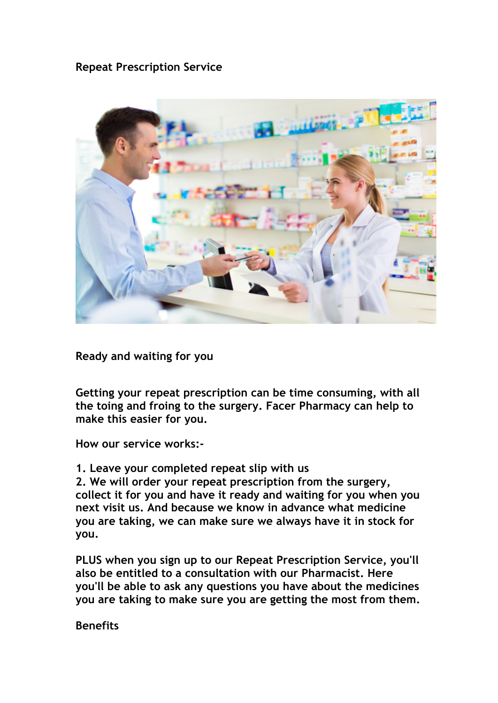**Repeat Prescription Service**



**Ready and waiting for you**

**Getting your repeat prescription can be time consuming, with all the toing and froing to the surgery. Facer Pharmacy can help to make this easier for you.**

**How our service works:-**

**1. Leave your completed repeat slip with us**

**2. We will order your repeat prescription from the surgery, collect it for you and have it ready and waiting for you when you next visit us. And because we know in advance what medicine you are taking, we can make sure we always have it in stock for you.**

**PLUS when you sign up to our Repeat Prescription Service, you'll also be entitled to a consultation with our Pharmacist. Here you'll be able to ask any questions you have about the medicines you are taking to make sure you are getting the most from them.**

**Benefits**